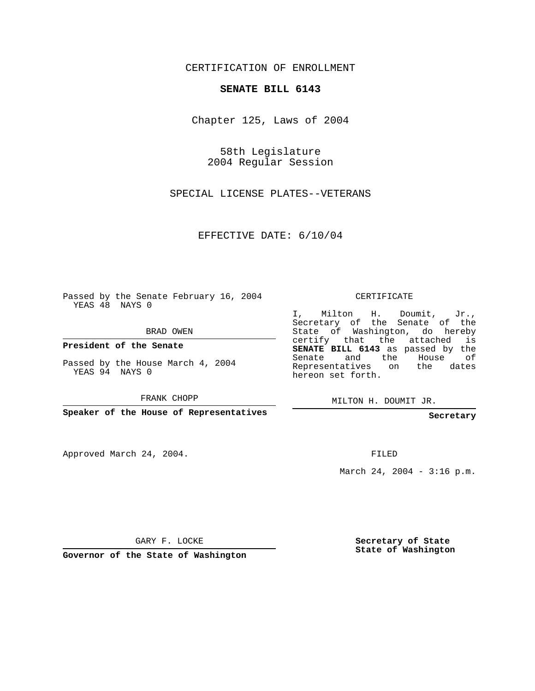CERTIFICATION OF ENROLLMENT

## **SENATE BILL 6143**

Chapter 125, Laws of 2004

58th Legislature 2004 Regular Session

SPECIAL LICENSE PLATES--VETERANS

EFFECTIVE DATE: 6/10/04

Passed by the Senate February 16, 2004 YEAS 48 NAYS 0

BRAD OWEN

**President of the Senate**

Passed by the House March 4, 2004 YEAS 94 NAYS 0

FRANK CHOPP

**Speaker of the House of Representatives**

Approved March 24, 2004.

CERTIFICATE

I, Milton H. Doumit, Jr., Secretary of the Senate of the State of Washington, do hereby certify that the attached is **SENATE BILL 6143** as passed by the Senate and the House of Representatives on the dates hereon set forth.

MILTON H. DOUMIT JR.

**Secretary**

FILED

March 24, 2004 - 3:16 p.m.

GARY F. LOCKE

**Governor of the State of Washington**

**Secretary of State State of Washington**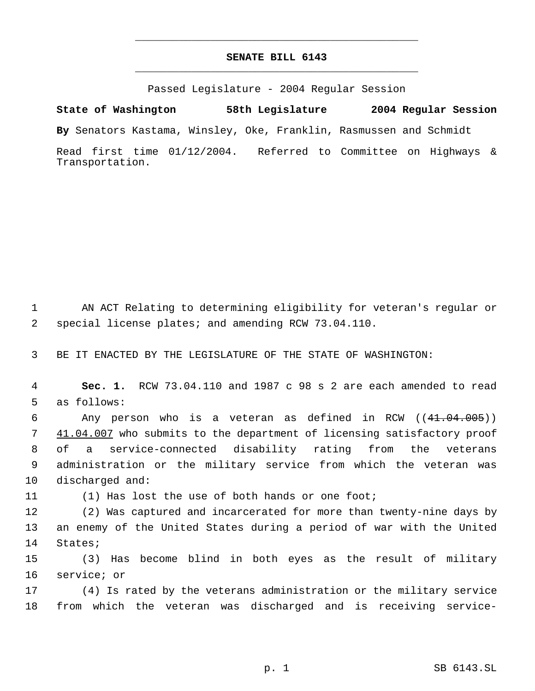## **SENATE BILL 6143** \_\_\_\_\_\_\_\_\_\_\_\_\_\_\_\_\_\_\_\_\_\_\_\_\_\_\_\_\_\_\_\_\_\_\_\_\_\_\_\_\_\_\_\_\_

\_\_\_\_\_\_\_\_\_\_\_\_\_\_\_\_\_\_\_\_\_\_\_\_\_\_\_\_\_\_\_\_\_\_\_\_\_\_\_\_\_\_\_\_\_

Passed Legislature - 2004 Regular Session

**State of Washington 58th Legislature 2004 Regular Session**

**By** Senators Kastama, Winsley, Oke, Franklin, Rasmussen and Schmidt

Read first time 01/12/2004. Referred to Committee on Highways & Transportation.

 AN ACT Relating to determining eligibility for veteran's regular or special license plates; and amending RCW 73.04.110.

BE IT ENACTED BY THE LEGISLATURE OF THE STATE OF WASHINGTON:

 **Sec. 1.** RCW 73.04.110 and 1987 c 98 s 2 are each amended to read as follows:

 Any person who is a veteran as defined in RCW ((41.04.005)) 7 41.04.007 who submits to the department of licensing satisfactory proof of a service-connected disability rating from the veterans administration or the military service from which the veteran was discharged and:

(1) Has lost the use of both hands or one foot;

 (2) Was captured and incarcerated for more than twenty-nine days by an enemy of the United States during a period of war with the United States;

 (3) Has become blind in both eyes as the result of military service; or

 (4) Is rated by the veterans administration or the military service from which the veteran was discharged and is receiving service